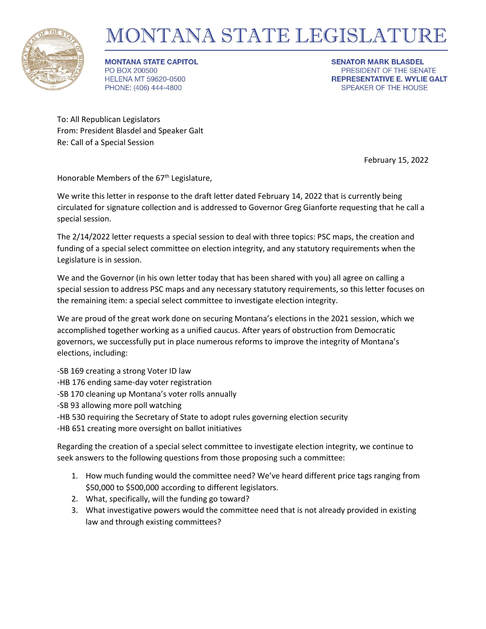

## MONTANA STATE LEGISLATURE

**MONTANA STATE CAPITOL** PO BOX 200500 **HELENA MT 59620-0500** PHONE: (406) 444-4800

**SENATOR MARK BLASDEL** PRESIDENT OF THE SENATE **REPRESENTATIVE E. WYLIE GALT** SPEAKER OF THE HOUSE

To: All Republican Legislators From: President Blasdel and Speaker Galt Re: Call of a Special Session

February 15, 2022

Honorable Members of the  $67<sup>th</sup>$  Legislature,

We write this letter in response to the draft letter dated February 14, 2022 that is currently being circulated for signature collection and is addressed to Governor Greg Gianforte requesting that he call a special session.

The 2/14/2022 letter requests a special session to deal with three topics: PSC maps, the creation and funding of a special select committee on election integrity, and any statutory requirements when the Legislature is in session.

We and the Governor (in his own letter today that has been shared with you) all agree on calling a special session to address PSC maps and any necessary statutory requirements, so this letter focuses on the remaining item: a special select committee to investigate election integrity.

We are proud of the great work done on securing Montana's elections in the 2021 session, which we accomplished together working as a unified caucus. After years of obstruction from Democratic governors, we successfully put in place numerous reforms to improve the integrity of Montana's elections, including:

-SB 169 creating a strong Voter ID law

- -HB 176 ending same-day voter registration
- -SB 170 cleaning up Montana's voter rolls annually
- -SB 93 allowing more poll watching
- -HB 530 requiring the Secretary of State to adopt rules governing election security

-HB 651 creating more oversight on ballot initiatives

Regarding the creation of a special select committee to investigate election integrity, we continue to seek answers to the following questions from those proposing such a committee:

- 1. How much funding would the committee need? We've heard different price tags ranging from \$50,000 to \$500,000 according to different legislators.
- 2. What, specifically, will the funding go toward?
- 3. What investigative powers would the committee need that is not already provided in existing law and through existing committees?